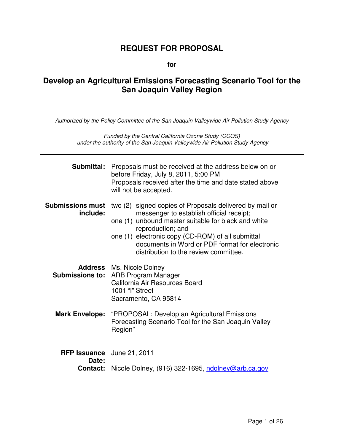## **REQUEST FOR PROPOSAL**

**for** 

## **Develop an Agricultural Emissions Forecasting Scenario Tool for the San Joaquin Valley Region**

*Authorized by the Policy Committee of the San Joaquin Valleywide Air Pollution Study Agency* 

*Funded by the Central California Ozone Study (CCOS) under the authority of the San Joaquin Valleywide Air Pollution Study Agency* 

| Submittal:                                             | Proposals must be received at the address below on or<br>before Friday, July 8, 2011, 5:00 PM<br>Proposals received after the time and date stated above<br>will not be accepted.                                                                                                                                               |  |
|--------------------------------------------------------|---------------------------------------------------------------------------------------------------------------------------------------------------------------------------------------------------------------------------------------------------------------------------------------------------------------------------------|--|
| <b>Submissions must</b><br>include:                    | two (2) signed copies of Proposals delivered by mail or<br>messenger to establish official receipt;<br>one (1) unbound master suitable for black and white<br>reproduction; and<br>one (1) electronic copy (CD-ROM) of all submittal<br>documents in Word or PDF format for electronic<br>distribution to the review committee. |  |
|                                                        | <b>Address</b> Ms. Nicole Dolney<br><b>Submissions to: ARB Program Manager</b><br>California Air Resources Board<br>1001 "I" Street<br>Sacramento, CA 95814                                                                                                                                                                     |  |
|                                                        | Mark Envelope: "PROPOSAL: Develop an Agricultural Emissions<br>Forecasting Scenario Tool for the San Joaquin Valley<br>Region"                                                                                                                                                                                                  |  |
| <b>RFP Issuance</b> June 21, 2011<br>Date:<br>Contact: | Nicole Dolney, (916) 322-1695, ndolney@arb.ca.gov                                                                                                                                                                                                                                                                               |  |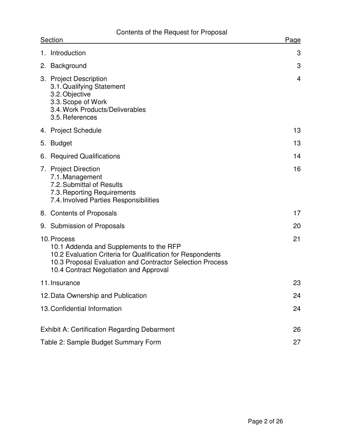# Contents of the Request for Proposal

| <b>Section</b>                      |                                                                                                                                                                                                                             | Page           |
|-------------------------------------|-----------------------------------------------------------------------------------------------------------------------------------------------------------------------------------------------------------------------------|----------------|
|                                     | 1. Introduction                                                                                                                                                                                                             | 3              |
|                                     | 2. Background                                                                                                                                                                                                               | 3              |
|                                     | 3. Project Description<br>3.1. Qualifying Statement<br>3.2. Objective<br>3.3. Scope of Work<br>3.4. Work Products/Deliverables<br>3.5. References                                                                           | $\overline{4}$ |
|                                     | 4. Project Schedule                                                                                                                                                                                                         | 13             |
| 5.                                  | <b>Budget</b>                                                                                                                                                                                                               | 13             |
| 6.                                  | <b>Required Qualifications</b>                                                                                                                                                                                              | 14             |
|                                     | 7. Project Direction<br>7.1. Management<br>7.2. Submittal of Results<br>7.3. Reporting Requirements<br>7.4. Involved Parties Responsibilities                                                                               | 16             |
|                                     | 8. Contents of Proposals                                                                                                                                                                                                    | 17             |
|                                     | 9. Submission of Proposals                                                                                                                                                                                                  | 20             |
|                                     | 10. Process<br>10.1 Addenda and Supplements to the RFP<br>10.2 Evaluation Criteria for Qualification for Respondents<br>10.3 Proposal Evaluation and Contractor Selection Process<br>10.4 Contract Negotiation and Approval | 21             |
| 11. Insurance                       |                                                                                                                                                                                                                             | 23             |
|                                     | 12. Data Ownership and Publication                                                                                                                                                                                          | 24             |
|                                     | 13. Confidential Information                                                                                                                                                                                                | 24             |
|                                     | <b>Exhibit A: Certification Regarding Debarment</b>                                                                                                                                                                         | 26             |
| Table 2: Sample Budget Summary Form |                                                                                                                                                                                                                             | 27             |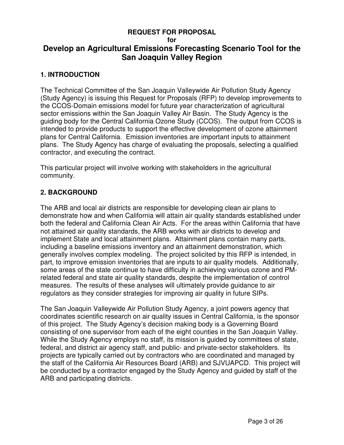#### **REQUEST FOR PROPOSAL**

#### **for**

## **Develop an Agricultural Emissions Forecasting Scenario Tool for the San Joaquin Valley Region**

#### **1. INTRODUCTION**

The Technical Committee of the San Joaquin Valleywide Air Pollution Study Agency (Study Agency) is issuing this Request for Proposals (RFP) to develop improvements to the CCOS-Domain emissions model for future year characterization of agricultural sector emissions within the San Joaquin Valley Air Basin. The Study Agency is the guiding body for the Central California Ozone Study (CCOS). The output from CCOS is intended to provide products to support the effective development of ozone attainment plans for Central California. Emission inventories are important inputs to attainment plans. The Study Agency has charge of evaluating the proposals, selecting a qualified contractor, and executing the contract.

This particular project will involve working with stakeholders in the agricultural community.

#### **2. BACKGROUND**

The ARB and local air districts are responsible for developing clean air plans to demonstrate how and when California will attain air quality standards established under both the federal and California Clean Air Acts. For the areas within California that have not attained air quality standards, the ARB works with air districts to develop and implement State and local attainment plans. Attainment plans contain many parts, including a baseline emissions inventory and an attainment demonstration, which generally involves complex modeling. The project solicited by this RFP is intended, in part, to improve emission inventories that are inputs to air quality models. Additionally, some areas of the state continue to have difficulty in achieving various ozone and PMrelated federal and state air quality standards, despite the implementation of control measures. The results of these analyses will ultimately provide guidance to air regulators as they consider strategies for improving air quality in future SIPs.

The San Joaquin Valleywide Air Pollution Study Agency, a joint powers agency that coordinates scientific research on air quality issues in Central California, is the sponsor of this project. The Study Agency's decision making body is a Governing Board consisting of one supervisor from each of the eight counties in the San Joaquin Valley. While the Study Agency employs no staff, its mission is guided by committees of state, federal, and district air agency staff, and public- and private-sector stakeholders. Its projects are typically carried out by contractors who are coordinated and managed by the staff of the California Air Resources Board (ARB) and SJVUAPCD. This project will be conducted by a contractor engaged by the Study Agency and guided by staff of the ARB and participating districts.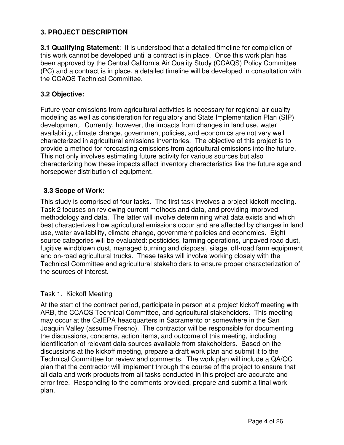### **3. PROJECT DESCRIPTION**

**3.1 Qualifying Statement**: It is understood that a detailed timeline for completion of this work cannot be developed until a contract is in place. Once this work plan has been approved by the Central California Air Quality Study (CCAQS) Policy Committee (PC) and a contract is in place, a detailed timeline will be developed in consultation with the CCAQS Technical Committee.

### **3.2 Objective:**

Future year emissions from agricultural activities is necessary for regional air quality modeling as well as consideration for regulatory and State Implementation Plan (SIP) development. Currently, however, the impacts from changes in land use, water availability, climate change, government policies, and economics are not very well characterized in agricultural emissions inventories. The objective of this project is to provide a method for forecasting emissions from agricultural emissions into the future. This not only involves estimating future activity for various sources but also characterizing how these impacts affect inventory characteristics like the future age and horsepower distribution of equipment.

### **3.3 Scope of Work:**

This study is comprised of four tasks. The first task involves a project kickoff meeting. Task 2 focuses on reviewing current methods and data, and providing improved methodology and data. The latter will involve determining what data exists and which best characterizes how agricultural emissions occur and are affected by changes in land use, water availability, climate change, government policies and economics. Eight source categories will be evaluated: pesticides, farming operations, unpaved road dust, fugitive windblown dust, managed burning and disposal, silage, off-road farm equipment and on-road agricultural trucks. These tasks will involve working closely with the Technical Committee and agricultural stakeholders to ensure proper characterization of the sources of interest.

### Task 1. Kickoff Meeting

At the start of the contract period, participate in person at a project kickoff meeting with ARB, the CCAQS Technical Committee, and agricultural stakeholders. This meeting may occur at the CalEPA headquarters in Sacramento or somewhere in the San Joaquin Valley (assume Fresno). The contractor will be responsible for documenting the discussions, concerns, action items, and outcome of this meeting, including identification of relevant data sources available from stakeholders. Based on the discussions at the kickoff meeting, prepare a draft work plan and submit it to the Technical Committee for review and comments. The work plan will include a QA/QC plan that the contractor will implement through the course of the project to ensure that all data and work products from all tasks conducted in this project are accurate and error free. Responding to the comments provided, prepare and submit a final work plan.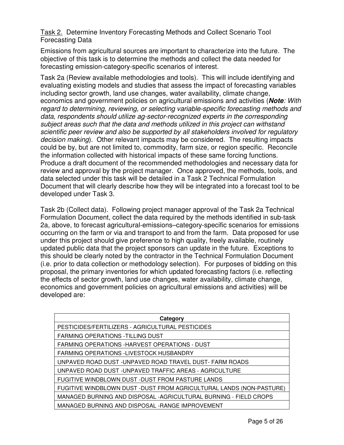Task 2. Determine Inventory Forecasting Methods and Collect Scenario Tool Forecasting Data

Emissions from agricultural sources are important to characterize into the future. The objective of this task is to determine the methods and collect the data needed for forecasting emission-category-specific scenarios of interest.

Task 2a (Review available methodologies and tools). This will include identifying and evaluating existing models and studies that assess the impact of forecasting variables including sector growth, land use changes, water availability, climate change, economics and government policies on agricultural emissions and activities (**Note***: With regard to determining, reviewing, or selecting variable-specific forecasting methods and data, respondents should utilize ag-sector-recognized experts in the corresponding subject areas such that the data and methods utilized in this project can withstand scientific peer review and also be supported by all stakeholders involved for regulatory decision making*). Other relevant impacts may be considered. The resulting impacts could be by, but are not limited to, commodity, farm size, or region specific. Reconcile the information collected with historical impacts of these same forcing functions. Produce a draft document of the recommended methodologies and necessary data for review and approval by the project manager. Once approved, the methods, tools, and data selected under this task will be detailed in a Task 2 Technical Formulation Document that will clearly describe how they will be integrated into a forecast tool to be developed under Task 3.

Task 2b (Collect data). Following project manager approval of the Task 2a Technical Formulation Document, collect the data required by the methods identified in sub-task 2a, above, to forecast agricultural-emissions–category-specific scenarios for emissions occurring on the farm or via and transport to and from the farm. Data proposed for use under this project should give preference to high quality, freely available, routinely updated public data that the project sponsors can update in the future. Exceptions to this should be clearly noted by the contractor in the Technical Formulation Document (i.e. prior to data collection or methodology selection). For purposes of bidding on this proposal, the primary inventories for which updated forecasting factors (i.e. reflecting the effects of sector growth, land use changes, water availability, climate change, economics and government policies on agricultural emissions and activities) will be developed are:

| Category                                                             |
|----------------------------------------------------------------------|
| PESTICIDES/FERTILIZERS - AGRICULTURAL PESTICIDES                     |
| FARMING OPERATIONS - TILLING DUST                                    |
| FARMING OPERATIONS - HARVEST OPERATIONS - DUST                       |
| <b>FARMING OPERATIONS -LIVESTOCK HUSBANDRY</b>                       |
| UNPAVED ROAD DUST -UNPAVED ROAD TRAVEL DUST- FARM ROADS              |
| UNPAVED ROAD DUST - UNPAVED TRAFFIC AREAS - AGRICULTURE              |
| FUGITIVE WINDBLOWN DUST -DUST FROM PASTURE LANDS                     |
| FUGITIVE WINDBLOWN DUST - DUST FROM AGRICULTURAL LANDS (NON-PASTURE) |
| MANAGED BURNING AND DISPOSAL - AGRICULTURAL BURNING - FIELD CROPS    |
| MANAGED BURNING AND DISPOSAL - RANGE IMPROVEMENT                     |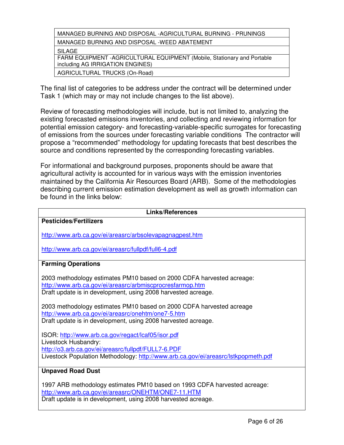| MANAGED BURNING AND DISPOSAL - AGRICULTURAL BURNING - PRUNINGS           |
|--------------------------------------------------------------------------|
| MANAGED BURNING AND DISPOSAL -WEED ABATEMENT                             |
| SILAGE                                                                   |
| FARM EQUIPMENT - AGRICULTURAL EQUIPMENT (Mobile, Stationary and Portable |
| including AG IRRIGATION ENGINES)                                         |
| AGRICULTURAL TRUCKS (On-Road)                                            |

The final list of categories to be address under the contract will be determined under Task 1 (which may or may not include changes to the list above).

Review of forecasting methodologies will include, but is not limited to, analyzing the existing forecasted emissions inventories, and collecting and reviewing information for potential emission category- and forecasting-variable-specific surrogates for forecasting of emissions from the sources under forecasting variable conditions The contractor will propose a "recommended" methodology for updating forecasts that best describes the source and conditions represented by the corresponding forecasting variables.

For informational and background purposes, proponents should be aware that agricultural activity is accounted for in various ways with the emission inventories maintained by the California Air Resources Board (ARB). Some of the methodologies describing current emission estimation development as well as growth information can be found in the links below:

| <b>Links/References</b>                                                                                                                                                                                                 |  |  |  |  |
|-------------------------------------------------------------------------------------------------------------------------------------------------------------------------------------------------------------------------|--|--|--|--|
| <b>Pesticides/Fertilizers</b>                                                                                                                                                                                           |  |  |  |  |
| http://www.arb.ca.gov/ei/areasrc/arbsolevapagnagpest.htm                                                                                                                                                                |  |  |  |  |
| http://www.arb.ca.gov/ei/areasrc/fullpdf/full6-4.pdf                                                                                                                                                                    |  |  |  |  |
| <b>Farming Operations</b>                                                                                                                                                                                               |  |  |  |  |
| 2003 methodology estimates PM10 based on 2000 CDFA harvested acreage:<br>http://www.arb.ca.gov/ei/areasrc/arbmiscprocresfarmop.htm<br>Draft update is in development, using 2008 harvested acreage.                     |  |  |  |  |
| 2003 methodology estimates PM10 based on 2000 CDFA harvested acreage<br>http://www.arb.ca.gov/ei/areasrc/onehtm/one7-5.htm<br>Draft update is in development, using 2008 harvested acreage.                             |  |  |  |  |
| ISOR: http://www.arb.ca.gov/regact/lcaf05/isor.pdf<br>Livestock Husbandry:<br>http://o3.arb.ca.gov/ei/areasrc/fullpdf/FULL7-6.PDF<br>Livestock Population Methodology: http://www.arb.ca.gov/ei/areasrc/lstkpopmeth.pdf |  |  |  |  |
| <b>Unpaved Road Dust</b>                                                                                                                                                                                                |  |  |  |  |
| 1997 ARB methodology estimates PM10 based on 1993 CDFA harvested acreage:<br>http://www.arb.ca.gov/ei/areasrc/ONEHTM/ONE7-11.HTM<br>Draft update is in development, using 2008 harvested acreage.                       |  |  |  |  |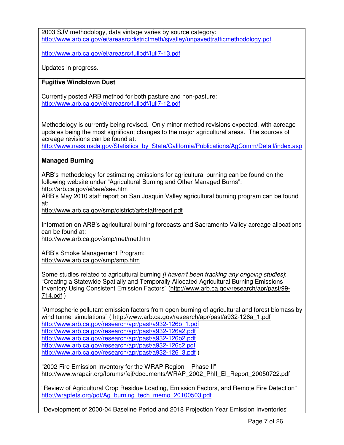2003 SJV methodology, data vintage varies by source category: http://www.arb.ca.gov/ei/areasrc/districtmeth/sjvalley/unpavedtrafficmethodology.pdf

http://www.arb.ca.gov/ei/areasrc/fullpdf/full7-13.pdf

Updates in progress.

#### **Fugitive Windblown Dust**

Currently posted ARB method for both pasture and non-pasture: http://www.arb.ca.gov/ei/areasrc/fullpdf/full7-12.pdf

Methodology is currently being revised. Only minor method revisions expected, with acreage updates being the most significant changes to the major agricultural areas. The sources of acreage revisions can be found at:

http://www.nass.usda.gov/Statistics\_by\_State/California/Publications/AgComm/Detail/index.asp

#### **Managed Burning**

ARB's methodology for estimating emissions for agricultural burning can be found on the following website under "Agricultural Burning and Other Managed Burns":

http://arb.ca.gov/ei/see/see.htm

ARB's May 2010 staff report on San Joaquin Valley agricultural burning program can be found at:

http://www.arb.ca.gov/smp/district/arbstaffreport.pdf

Information on ARB's agricultural burning forecasts and Sacramento Valley acreage allocations can be found at:

http://www.arb.ca.gov/smp/met/met.htm

ARB's Smoke Management Program: http://www.arb.ca.gov/smp/smp.htm

Some studies related to agricultural burning *[I haven't been tracking any ongoing studies]*: "Creating a Statewide Spatially and Temporally Allocated Agricultural Burning Emissions Inventory Using Consistent Emission Factors" (http://www.arb.ca.gov/research/apr/past/99- 714.pdf )

"Atmospheric pollutant emission factors from open burning of agricultural and forest biomass by wind tunnel simulations" ( http://www.arb.ca.gov/research/apr/past/a932-126a\_1.pdf

http://www.arb.ca.gov/research/apr/past/a932-126b\_1.pdf http://www.arb.ca.gov/research/apr/past/a932-126a2.pdf http://www.arb.ca.gov/research/apr/past/a932-126b2.pdf http://www.arb.ca.gov/research/apr/past/a932-126c2.pdf http://www.arb.ca.gov/research/apr/past/a932-126\_3.pdf )

"2002 Fire Emission Inventory for the WRAP Region – Phase II" http://www.wrapair.org/forums/fejf/documents/WRAP\_2002\_PhII\_EI\_Report\_20050722.pdf

"Review of Agricultural Crop Residue Loading, Emission Factors, and Remote Fire Detection" http://wrapfets.org/pdf/Ag\_burning\_tech\_memo\_20100503.pdf

"Development of 2000-04 Baseline Period and 2018 Projection Year Emission Inventories"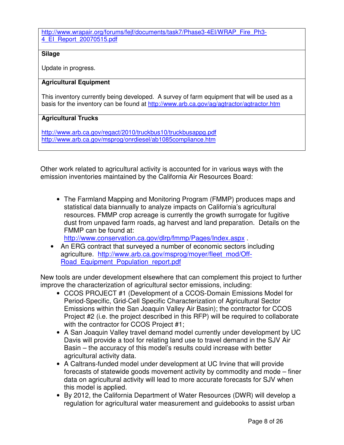#### http://www.wrapair.org/forums/fejf/documents/task7/Phase3-4EI/WRAP\_Fire\_Ph3-4\_EI\_Report\_20070515.pdf

#### **Silage**

Update in progress.

#### **Agricultural Equipment**

This inventory currently being developed. A survey of farm equipment that will be used as a basis for the inventory can be found at http://www.arb.ca.gov/ag/agtractor/agtractor.htm

#### **Agricultural Trucks**

http://www.arb.ca.gov/regact/2010/truckbus10/truckbusappg.pdf http://www.arb.ca.gov/msprog/onrdiesel/ab1085compliance.htm

Other work related to agricultural activity is accounted for in various ways with the emission inventories maintained by the California Air Resources Board:

• The Farmland Mapping and Monitoring Program (FMMP) produces maps and statistical data biannually to analyze impacts on California's agricultural resources. FMMP crop acreage is currently the growth surrogate for fugitive dust from unpaved farm roads, ag harvest and land preparation. Details on the FMMP can be found at:

http://www.conservation.ca.gov/dlrp/fmmp/Pages/Index.aspx .

• An ERG contract that surveyed a number of economic sectors including agriculture. http://www.arb.ca.gov/msprog/moyer/fleet\_mod/Off-Road\_Equipment\_Population\_report.pdf

New tools are under development elsewhere that can complement this project to further improve the characterization of agricultural sector emissions, including:

- CCOS PROJECT #1 (Development of a CCOS-Domain Emissions Model for Period-Specific, Grid-Cell Specific Characterization of Agricultural Sector Emissions within the San Joaquin Valley Air Basin); the contractor for CCOS Project #2 (i.e. the project described in this RFP) will be required to collaborate with the contractor for CCOS Project #1;
- A San Joaquin Valley travel demand model currently under development by UC Davis will provide a tool for relating land use to travel demand in the SJV Air Basin – the accuracy of this model's results could increase with better agricultural activity data.
- A Caltrans-funded model under development at UC Irvine that will provide forecasts of statewide goods movement activity by commodity and mode – finer data on agricultural activity will lead to more accurate forecasts for SJV when this model is applied.
- By 2012, the California Department of Water Resources (DWR) will develop a regulation for agricultural water measurement and guidebooks to assist urban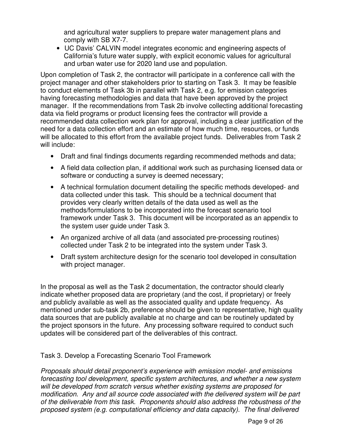and agricultural water suppliers to prepare water management plans and comply with SB X7-7.

• UC Davis' CALVIN model integrates economic and engineering aspects of California's future water supply, with explicit economic values for agricultural and urban water use for 2020 land use and population.

Upon completion of Task 2, the contractor will participate in a conference call with the project manager and other stakeholders prior to starting on Task 3. It may be feasible to conduct elements of Task 3b in parallel with Task 2, e.g. for emission categories having forecasting methodologies and data that have been approved by the project manager. If the recommendations from Task 2b involve collecting additional forecasting data via field programs or product licensing fees the contractor will provide a recommended data collection work plan for approval, including a clear justification of the need for a data collection effort and an estimate of how much time, resources, or funds will be allocated to this effort from the available project funds. Deliverables from Task 2 will include:

- Draft and final findings documents regarding recommended methods and data;
- A field data collection plan, if additional work such as purchasing licensed data or software or conducting a survey is deemed necessary;
- A technical formulation document detailing the specific methods developed- and data collected under this task. This should be a technical document that provides very clearly written details of the data used as well as the methods/formulations to be incorporated into the forecast scenario tool framework under Task 3. This document will be incorporated as an appendix to the system user guide under Task 3.
- An organized archive of all data (and associated pre-processing routines) collected under Task 2 to be integrated into the system under Task 3.
- Draft system architecture design for the scenario tool developed in consultation with project manager.

In the proposal as well as the Task 2 documentation, the contractor should clearly indicate whether proposed data are proprietary (and the cost, if proprietary) or freely and publicly available as well as the associated quality and update frequency. As mentioned under sub-task 2b, preference should be given to representative, high quality data sources that are publicly available at no charge and can be routinely updated by the project sponsors in the future. Any processing software required to conduct such updates will be considered part of the deliverables of this contract.

Task 3. Develop a Forecasting Scenario Tool Framework

*Proposals should detail proponent's experience with emission model- and emissions forecasting tool development, specific system architectures, and whether a new system will be developed from scratch versus whether existing systems are proposed for modification. Any and all source code associated with the delivered system will be part of the deliverable from this task. Proponents should also address the robustness of the proposed system (e.g. computational efficiency and data capacity). The final delivered*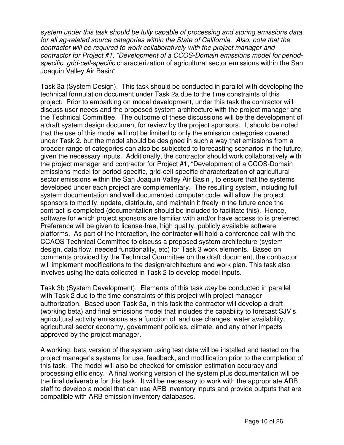*system under this task should be fully capable of processing and storing emissions data for all ag-related source categories within the State of California. Also, note that the contractor will be required to work collaboratively with the project manager and contractor for Project #1, "Development of a CCOS-Domain emissions model for periodspecific, grid-cell-specific* characterization of agricultural sector emissions within the San Joaquin Valley Air Basin"

Task 3a (System Design). This task should be conducted in parallel with developing the technical formulation document under Task 2a due to the time constraints of this project. Prior to embarking on model development, under this task the contractor will discuss user needs and the proposed system architecture with the project manager and the Technical Committee. The outcome of these discussions will be the development of a draft system design document for review by the project sponsors. It should be noted that the use of this model will not be limited to only the emission categories covered under Task 2, but the model should be designed in such a way that emissions from a broader range of categories can also be subjected to forecasting scenarios in the future, given the necessary inputs. Additionally, the contractor should work collaboratively with the project manager and contractor for Project #1, "Development of a CCOS-Domain emissions model for period-specific, grid-cell-specific characterization of agricultural sector emissions within the San Joaquin Valley Air Basin", to ensure that the systems developed under each project are complementary. The resulting system, including full system documentation and well documented computer code, will allow the project sponsors to modify, update, distribute, and maintain it freely in the future once the contract is completed (documentation should be included to facilitate this). Hence, software for which project sponsors are familiar with and/or have access to is preferred. Preference will be given to license-free, high quality, publicly available software platforms. As part of the interaction, the contractor will hold a conference call with the CCAQS Technical Committee to discuss a proposed system architecture (system design, data flow, needed functionality, etc) for Task 3 work elements. Based on comments provided by the Technical Committee on the draft document, the contractor will implement modifications to the design/architecture and work plan. This task also involves using the data collected in Task 2 to develop model inputs.

Task 3b (System Development). Elements of this task *may* be conducted in parallel with Task 2 due to the time constraints of this project with project manager authorization. Based upon Task 3a, in this task the contractor will develop a draft (working beta) and final emissions model that includes the capability to forecast SJV's agricultural activity emissions as a function of land use changes, water availability, agricultural-sector economy, government policies, climate, and any other impacts approved by the project manager.

A working, beta version of the system using test data will be installed and tested on the project manager's systems for use, feedback, and modification prior to the completion of this task. The model will also be checked for emission estimation accuracy and processing efficiency. A final working version of the system plus documentation will be the final deliverable for this task. It will be necessary to work with the appropriate ARB staff to develop a model that can use ARB inventory inputs and provide outputs that are compatible with ARB emission inventory databases.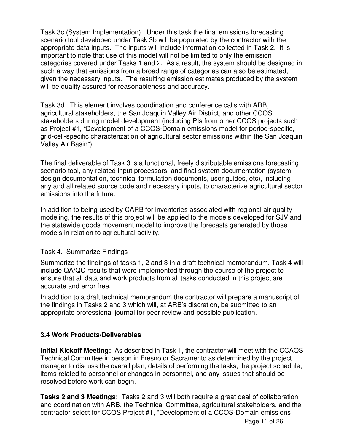Task 3c (System Implementation). Under this task the final emissions forecasting scenario tool developed under Task 3b will be populated by the contractor with the appropriate data inputs. The inputs will include information collected in Task 2. It is important to note that use of this model will not be limited to only the emission categories covered under Tasks 1 and 2. As a result, the system should be designed in such a way that emissions from a broad range of categories can also be estimated, given the necessary inputs. The resulting emission estimates produced by the system will be quality assured for reasonableness and accuracy.

Task 3d. This element involves coordination and conference calls with ARB, agricultural stakeholders, the San Joaquin Valley Air District, and other CCOS stakeholders during model development (including PIs from other CCOS projects such as Project #1, "Development of a CCOS-Domain emissions model for period-specific, grid-cell-specific characterization of agricultural sector emissions within the San Joaquin Valley Air Basin").

The final deliverable of Task 3 is a functional, freely distributable emissions forecasting scenario tool, any related input processors, and final system documentation (system design documentation, technical formulation documents, user guides, etc), including any and all related source code and necessary inputs, to characterize agricultural sector emissions into the future.

In addition to being used by CARB for inventories associated with regional air quality modeling, the results of this project will be applied to the models developed for SJV and the statewide goods movement model to improve the forecasts generated by those models in relation to agricultural activity.

### Task 4. Summarize Findings

Summarize the findings of tasks 1, 2 and 3 in a draft technical memorandum. Task 4 will include QA/QC results that were implemented through the course of the project to ensure that all data and work products from all tasks conducted in this project are accurate and error free.

In addition to a draft technical memorandum the contractor will prepare a manuscript of the findings in Tasks 2 and 3 which will, at ARB's discretion, be submitted to an appropriate professional journal for peer review and possible publication.

#### **3.4 Work Products/Deliverables**

**Initial Kickoff Meeting:** As described in Task 1, the contractor will meet with the CCAQS Technical Committee in person in Fresno or Sacramento as determined by the project manager to discuss the overall plan, details of performing the tasks, the project schedule, items related to personnel or changes in personnel, and any issues that should be resolved before work can begin.

**Tasks 2 and 3 Meetings:** Tasks 2 and 3 will both require a great deal of collaboration and coordination with ARB, the Technical Committee, agricultural stakeholders, and the contractor select for CCOS Project #1, "Development of a CCOS-Domain emissions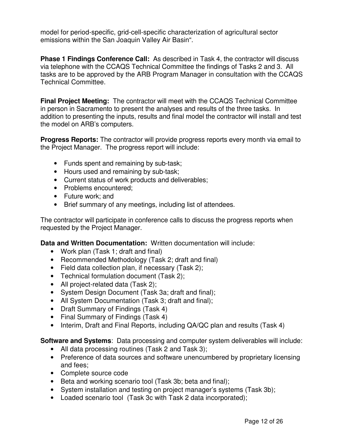model for period-specific, grid-cell-specific characterization of agricultural sector emissions within the San Joaquin Valley Air Basin".

**Phase 1 Findings Conference Call:** As described in Task 4, the contractor will discuss via telephone with the CCAQS Technical Committee the findings of Tasks 2 and 3. All tasks are to be approved by the ARB Program Manager in consultation with the CCAQS Technical Committee.

**Final Project Meeting:** The contractor will meet with the CCAQS Technical Committee in person in Sacramento to present the analyses and results of the three tasks. In addition to presenting the inputs, results and final model the contractor will install and test the model on ARB's computers.

**Progress Reports:** The contractor will provide progress reports every month via email to the Project Manager. The progress report will include:

- Funds spent and remaining by sub-task;
- Hours used and remaining by sub-task;
- Current status of work products and deliverables;
- Problems encountered:
- Future work; and
- Brief summary of any meetings, including list of attendees.

The contractor will participate in conference calls to discuss the progress reports when requested by the Project Manager.

**Data and Written Documentation:** Written documentation will include:

- Work plan (Task 1; draft and final)
- Recommended Methodology (Task 2; draft and final)
- Field data collection plan, if necessary (Task 2);
- Technical formulation document (Task 2);
- All project-related data (Task 2);
- System Design Document (Task 3a; draft and final);
- All System Documentation (Task 3; draft and final);
- Draft Summary of Findings (Task 4)
- Final Summary of Findings (Task 4)
- Interim, Draft and Final Reports, including QA/QC plan and results (Task 4)

**Software and Systems**: Data processing and computer system deliverables will include:

- All data processing routines (Task 2 and Task 3);
- Preference of data sources and software unencumbered by proprietary licensing and fees;
- Complete source code
- Beta and working scenario tool (Task 3b; beta and final);
- System installation and testing on project manager's systems (Task 3b);
- Loaded scenario tool (Task 3c with Task 2 data incorporated);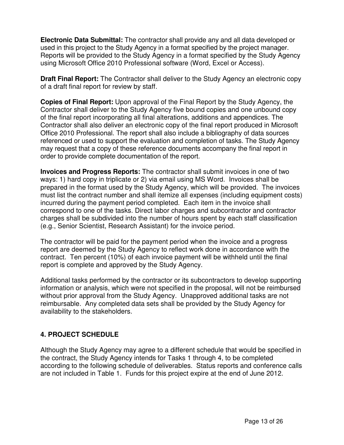**Electronic Data Submittal:** The contractor shall provide any and all data developed or used in this project to the Study Agency in a format specified by the project manager. Reports will be provided to the Study Agency in a format specified by the Study Agency using Microsoft Office 2010 Professional software (Word, Excel or Access).

**Draft Final Report:** The Contractor shall deliver to the Study Agency an electronic copy of a draft final report for review by staff.

**Copies of Final Report:** Upon approval of the Final Report by the Study Agency, the Contractor shall deliver to the Study Agency five bound copies and one unbound copy of the final report incorporating all final alterations, additions and appendices. The Contractor shall also deliver an electronic copy of the final report produced in Microsoft Office 2010 Professional. The report shall also include a bibliography of data sources referenced or used to support the evaluation and completion of tasks. The Study Agency may request that a copy of these reference documents accompany the final report in order to provide complete documentation of the report.

**Invoices and Progress Reports:** The contractor shall submit invoices in one of two ways: 1) hard copy in triplicate or 2) via email using MS Word. Invoices shall be prepared in the format used by the Study Agency, which will be provided. The invoices must list the contract number and shall itemize all expenses (including equipment costs) incurred during the payment period completed. Each item in the invoice shall correspond to one of the tasks. Direct labor charges and subcontractor and contractor charges shall be subdivided into the number of hours spent by each staff classification (e.g., Senior Scientist, Research Assistant) for the invoice period.

The contractor will be paid for the payment period when the invoice and a progress report are deemed by the Study Agency to reflect work done in accordance with the contract. Ten percent (10%) of each invoice payment will be withheld until the final report is complete and approved by the Study Agency.

Additional tasks performed by the contractor or its subcontractors to develop supporting information or analysis, which were not specified in the proposal, will not be reimbursed without prior approval from the Study Agency. Unapproved additional tasks are not reimbursable. Any completed data sets shall be provided by the Study Agency for availability to the stakeholders.

## **4. PROJECT SCHEDULE**

Although the Study Agency may agree to a different schedule that would be specified in the contract, the Study Agency intends for Tasks 1 through 4, to be completed according to the following schedule of deliverables. Status reports and conference calls are not included in Table 1. Funds for this project expire at the end of June 2012.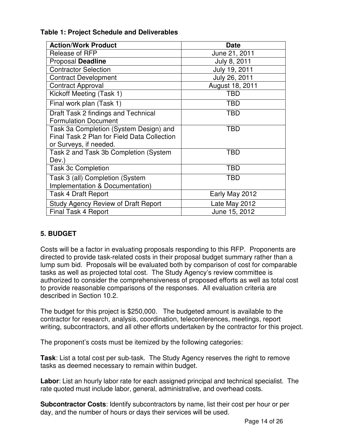| <b>Action/Work Product</b>                  | <b>Date</b>     |  |
|---------------------------------------------|-----------------|--|
| Release of RFP                              | June 21, 2011   |  |
| Proposal Deadline                           | July 8, 2011    |  |
| <b>Contractor Selection</b>                 | July 19, 2011   |  |
| <b>Contract Development</b>                 | July 26, 2011   |  |
| <b>Contract Approval</b>                    | August 18, 2011 |  |
| Kickoff Meeting (Task 1)                    | TBD             |  |
| Final work plan (Task 1)                    | TBD             |  |
| Draft Task 2 findings and Technical         | TBD             |  |
| <b>Formulation Document</b>                 |                 |  |
| Task 3a Completion (System Design) and      | <b>TBD</b>      |  |
| Final Task 2 Plan for Field Data Collection |                 |  |
| or Surveys, if needed.                      |                 |  |
| Task 2 and Task 3b Completion (System       | TBD             |  |
| Dev.)                                       |                 |  |
| <b>Task 3c Completion</b>                   | <b>TBD</b>      |  |
| Task 3 (all) Completion (System             | TBD             |  |
| Implementation & Documentation)             |                 |  |
| Task 4 Draft Report                         | Early May 2012  |  |
| <b>Study Agency Review of Draft Report</b>  | Late May 2012   |  |
| <b>Final Task 4 Report</b>                  | June 15, 2012   |  |

### **Table 1: Project Schedule and Deliverables**

### **5. BUDGET**

Costs will be a factor in evaluating proposals responding to this RFP. Proponents are directed to provide task-related costs in their proposal budget summary rather than a lump sum bid. Proposals will be evaluated both by comparison of cost for comparable tasks as well as projected total cost. The Study Agency's review committee is authorized to consider the comprehensiveness of proposed efforts as well as total cost to provide reasonable comparisons of the responses. All evaluation criteria are described in Section 10.2.

The budget for this project is \$250,000. The budgeted amount is available to the contractor for research, analysis, coordination, teleconferences, meetings, report writing, subcontractors, and all other efforts undertaken by the contractor for this project.

The proponent's costs must be itemized by the following categories:

**Task**: List a total cost per sub-task. The Study Agency reserves the right to remove tasks as deemed necessary to remain within budget.

**Labor**: List an hourly labor rate for each assigned principal and technical specialist. The rate quoted must include labor, general, administrative, and overhead costs.

**Subcontractor Costs**: Identify subcontractors by name, list their cost per hour or per day, and the number of hours or days their services will be used.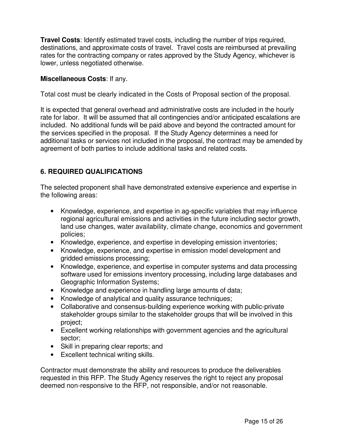**Travel Costs**: Identify estimated travel costs, including the number of trips required, destinations, and approximate costs of travel. Travel costs are reimbursed at prevailing rates for the contracting company or rates approved by the Study Agency, whichever is lower, unless negotiated otherwise.

#### **Miscellaneous Costs**: If any.

Total cost must be clearly indicated in the Costs of Proposal section of the proposal.

It is expected that general overhead and administrative costs are included in the hourly rate for labor. It will be assumed that all contingencies and/or anticipated escalations are included. No additional funds will be paid above and beyond the contracted amount for the services specified in the proposal. If the Study Agency determines a need for additional tasks or services not included in the proposal, the contract may be amended by agreement of both parties to include additional tasks and related costs.

### **6. REQUIRED QUALIFICATIONS**

The selected proponent shall have demonstrated extensive experience and expertise in the following areas:

- Knowledge, experience, and expertise in ag-specific variables that may influence regional agricultural emissions and activities in the future including sector growth, land use changes, water availability, climate change, economics and government policies;
- Knowledge, experience, and expertise in developing emission inventories;
- Knowledge, experience, and expertise in emission model development and gridded emissions processing;
- Knowledge, experience, and expertise in computer systems and data processing software used for emissions inventory processing, including large databases and Geographic Information Systems;
- Knowledge and experience in handling large amounts of data;
- Knowledge of analytical and quality assurance techniques;
- Collaborative and consensus-building experience working with public-private stakeholder groups similar to the stakeholder groups that will be involved in this project;
- Excellent working relationships with government agencies and the agricultural sector;
- Skill in preparing clear reports; and
- Excellent technical writing skills.

Contractor must demonstrate the ability and resources to produce the deliverables requested in this RFP. The Study Agency reserves the right to reject any proposal deemed non-responsive to the RFP, not responsible, and/or not reasonable.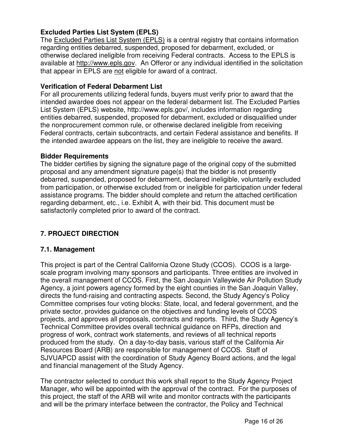### **Excluded Parties List System (EPLS)**

The Excluded Parties List System (EPLS) is a central registry that contains information regarding entities debarred, suspended, proposed for debarment, excluded, or otherwise declared ineligible from receiving Federal contracts. Access to the EPLS is available at http://www.epls.gov. An Offeror or any individual identified in the solicitation that appear in EPLS are not eligible for award of a contract.

#### **Verification of Federal Debarment List**

For all procurements utilizing federal funds, buyers must verify prior to award that the intended awardee does not appear on the federal debarment list. The Excluded Parties List System (EPLS) website, http://www.epls.gov/, includes information regarding entities debarred, suspended, proposed for debarment, excluded or disqualified under the nonprocurement common rule, or otherwise declared ineligible from receiving Federal contracts, certain subcontracts, and certain Federal assistance and benefits. If the intended awardee appears on the list, they are ineligible to receive the award.

#### **Bidder Requirements**

The bidder certifies by signing the signature page of the original copy of the submitted proposal and any amendment signature page(s) that the bidder is not presently debarred, suspended, proposed for debarment, declared ineligible, voluntarily excluded from participation, or otherwise excluded from or ineligible for participation under federal assistance programs. The bidder should complete and return the attached certification regarding debarment, etc., i.e. Exhibit A, with their bid. This document must be satisfactorily completed prior to award of the contract.

### **7. PROJECT DIRECTION**

#### **7.1. Management**

This project is part of the Central California Ozone Study (CCOS). CCOS is a largescale program involving many sponsors and participants. Three entities are involved in the overall management of CCOS. First, the San Joaquin Valleywide Air Pollution Study Agency, a joint powers agency formed by the eight counties in the San Joaquin Valley, directs the fund-raising and contracting aspects. Second, the Study Agency's Policy Committee comprises four voting blocks: State, local, and federal government, and the private sector, provides guidance on the objectives and funding levels of CCOS projects, and approves all proposals, contracts and reports. Third, the Study Agency's Technical Committee provides overall technical guidance on RFPs, direction and progress of work, contract work statements, and reviews of all technical reports produced from the study. On a day-to-day basis, various staff of the California Air Resources Board (ARB) are responsible for management of CCOS. Staff of SJVUAPCD assist with the coordination of Study Agency Board actions, and the legal and financial management of the Study Agency.

The contractor selected to conduct this work shall report to the Study Agency Project Manager, who will be appointed with the approval of the contract. For the purposes of this project, the staff of the ARB will write and monitor contracts with the participants and will be the primary interface between the contractor, the Policy and Technical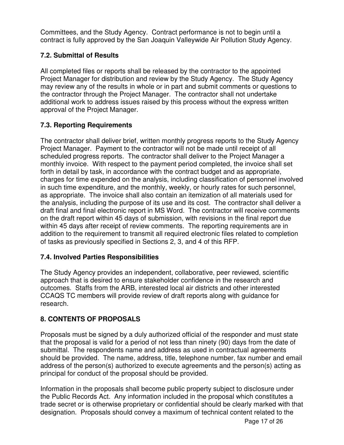Committees, and the Study Agency. Contract performance is not to begin until a contract is fully approved by the San Joaquin Valleywide Air Pollution Study Agency.

## **7.2. Submittal of Results**

All completed files or reports shall be released by the contractor to the appointed Project Manager for distribution and review by the Study Agency. The Study Agency may review any of the results in whole or in part and submit comments or questions to the contractor through the Project Manager. The contractor shall not undertake additional work to address issues raised by this process without the express written approval of the Project Manager.

## **7.3. Reporting Requirements**

The contractor shall deliver brief, written monthly progress reports to the Study Agency Project Manager. Payment to the contractor will not be made until receipt of all scheduled progress reports. The contractor shall deliver to the Project Manager a monthly invoice. With respect to the payment period completed, the invoice shall set forth in detail by task, in accordance with the contract budget and as appropriate, charges for time expended on the analysis, including classification of personnel involved in such time expenditure, and the monthly, weekly, or hourly rates for such personnel, as appropriate. The invoice shall also contain an itemization of all materials used for the analysis, including the purpose of its use and its cost. The contractor shall deliver a draft final and final electronic report in MS Word. The contractor will receive comments on the draft report within 45 days of submission, with revisions in the final report due within 45 days after receipt of review comments. The reporting requirements are in addition to the requirement to transmit all required electronic files related to completion of tasks as previously specified in Sections 2, 3, and 4 of this RFP.

## **7.4. Involved Parties Responsibilities**

The Study Agency provides an independent, collaborative, peer reviewed, scientific approach that is desired to ensure stakeholder confidence in the research and outcomes. Staffs from the ARB, interested local air districts and other interested CCAQS TC members will provide review of draft reports along with guidance for research.

## **8. CONTENTS OF PROPOSALS**

Proposals must be signed by a duly authorized official of the responder and must state that the proposal is valid for a period of not less than ninety (90) days from the date of submittal. The respondents name and address as used in contractual agreements should be provided. The name, address, title, telephone number, fax number and email address of the person(s) authorized to execute agreements and the person(s) acting as principal for conduct of the proposal should be provided.

Information in the proposals shall become public property subject to disclosure under the Public Records Act. Any information included in the proposal which constitutes a trade secret or is otherwise proprietary or confidential should be clearly marked with that designation. Proposals should convey a maximum of technical content related to the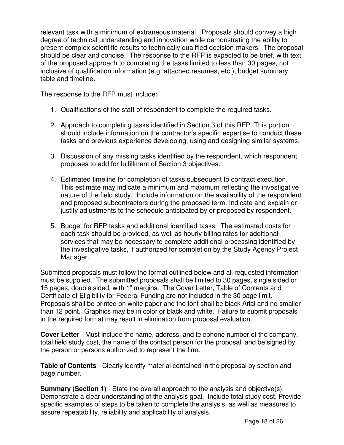relevant task with a minimum of extraneous material. Proposals should convey a high degree of technical understanding and innovation while demonstrating the ability to present complex scientific results to technically qualified decision-makers. The proposal should be clear and concise. The response to the RFP is expected to be brief, with text of the proposed approach to completing the tasks limited to less than 30 pages, not inclusive of qualification information (e.g. attached resumes, etc.), budget summary table and timeline.

The response to the RFP must include:

- 1. Qualifications of the staff of respondent to complete the required tasks.
- 2. Approach to completing tasks identified in Section 3 of this RFP. This portion should include information on the contractor's specific expertise to conduct these tasks and previous experience developing, using and designing similar systems.
- 3. Discussion of any missing tasks identified by the respondent, which respondent proposes to add for fulfillment of Section 3 objectives.
- 4. Estimated timeline for completion of tasks subsequent to contract execution. This estimate may indicate a minimum and maximum reflecting the investigative nature of the field study. Include information on the availability of the respondent and proposed subcontractors during the proposed term. Indicate and explain or justify adjustments to the schedule anticipated by or proposed by respondent.
- 5. Budget for RFP tasks and additional identified tasks. The estimated costs for each task should be provided, as well as hourly billing rates for additional services that may be necessary to complete additional processing identified by the investigative tasks, if authorized for completion by the Study Agency Project Manager.

Submitted proposals must follow the format outlined below and all requested information must be supplied. The submitted proposals shall be limited to 30 pages, single sided or 15 pages, double sided, with 1" margins. The Cover Letter, Table of Contents and Certificate of Eligibility for Federal Funding are not included in the 30 page limit. Proposals shall be printed on white paper and the font shall be black Arial and no smaller than 12 point. Graphics may be in color or black and white. Failure to submit proposals in the required format may result in elimination from proposal evaluation.

**Cover Letter** - Must include the name, address, and telephone number of the company, total field study cost, the name of the contact person for the proposal, and be signed by the person or persons authorized to represent the firm.

**Table of Contents** - Clearly identify material contained in the proposal by section and page number.

**Summary (Section 1)** - State the overall approach to the analysis and objective(s). Demonstrate a clear understanding of the analysis goal. Include total study cost. Provide specific examples of steps to be taken to complete the analysis, as well as measures to assure repeatability, reliability and applicability of analysis.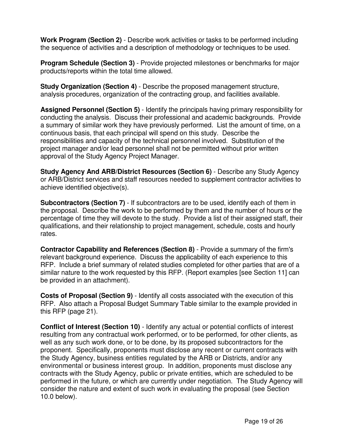**Work Program (Section 2)** - Describe work activities or tasks to be performed including the sequence of activities and a description of methodology or techniques to be used.

**Program Schedule (Section 3)** - Provide projected milestones or benchmarks for major products/reports within the total time allowed.

**Study Organization (Section 4)** - Describe the proposed management structure, analysis procedures, organization of the contracting group, and facilities available.

**Assigned Personnel (Section 5)** - Identify the principals having primary responsibility for conducting the analysis. Discuss their professional and academic backgrounds. Provide a summary of similar work they have previously performed. List the amount of time, on a continuous basis, that each principal will spend on this study. Describe the responsibilities and capacity of the technical personnel involved. Substitution of the project manager and/or lead personnel shall not be permitted without prior written approval of the Study Agency Project Manager.

**Study Agency And ARB/District Resources (Section 6)** - Describe any Study Agency or ARB/District services and staff resources needed to supplement contractor activities to achieve identified objective(s).

**Subcontractors (Section 7)** - If subcontractors are to be used, identify each of them in the proposal. Describe the work to be performed by them and the number of hours or the percentage of time they will devote to the study. Provide a list of their assigned staff, their qualifications, and their relationship to project management, schedule, costs and hourly rates.

**Contractor Capability and References (Section 8)** - Provide a summary of the firm's relevant background experience. Discuss the applicability of each experience to this RFP. Include a brief summary of related studies completed for other parties that are of a similar nature to the work requested by this RFP. (Report examples [see Section 11] can be provided in an attachment).

**Costs of Proposal (Section 9)** - Identify all costs associated with the execution of this RFP. Also attach a Proposal Budget Summary Table similar to the example provided in this RFP (page 21).

**Conflict of Interest (Section 10)** - Identify any actual or potential conflicts of interest resulting from any contractual work performed, or to be performed, for other clients, as well as any such work done, or to be done, by its proposed subcontractors for the proponent. Specifically, proponents must disclose any recent or current contracts with the Study Agency, business entities regulated by the ARB or Districts, and/or any environmental or business interest group. In addition, proponents must disclose any contracts with the Study Agency, public or private entities, which are scheduled to be performed in the future, or which are currently under negotiation. The Study Agency will consider the nature and extent of such work in evaluating the proposal (see Section 10.0 below).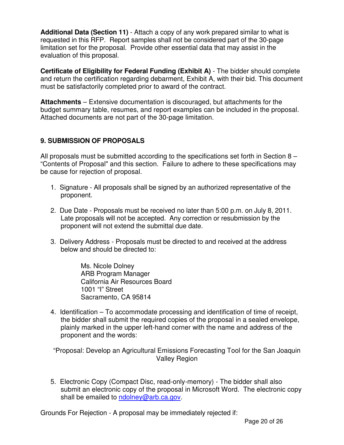**Additional Data (Section 11)** - Attach a copy of any work prepared similar to what is requested in this RFP. Report samples shall not be considered part of the 30-page limitation set for the proposal. Provide other essential data that may assist in the evaluation of this proposal.

**Certificate of Eligibility for Federal Funding (Exhibit A)** - The bidder should complete and return the certification regarding debarment, Exhibit A, with their bid. This document must be satisfactorily completed prior to award of the contract.

**Attachments** – Extensive documentation is discouraged, but attachments for the budget summary table, resumes, and report examples can be included in the proposal. Attached documents are not part of the 30-page limitation.

### **9. SUBMISSION OF PROPOSALS**

All proposals must be submitted according to the specifications set forth in Section 8 – "Contents of Proposal" and this section. Failure to adhere to these specifications may be cause for rejection of proposal.

- 1. Signature All proposals shall be signed by an authorized representative of the proponent.
- 2. Due Date Proposals must be received no later than 5:00 p.m. on July 8, 2011. Late proposals will not be accepted. Any correction or resubmission by the proponent will not extend the submittal due date.
- 3. Delivery Address Proposals must be directed to and received at the address below and should be directed to:

Ms. Nicole Dolney ARB Program Manager California Air Resources Board 1001 "I" Street Sacramento, CA 95814

4. Identification – To accommodate processing and identification of time of receipt, the bidder shall submit the required copies of the proposal in a sealed envelope, plainly marked in the upper left-hand corner with the name and address of the proponent and the words:

"Proposal: Develop an Agricultural Emissions Forecasting Tool for the San Joaquin Valley Region

5. Electronic Copy (Compact Disc, read-only-memory) - The bidder shall also submit an electronic copy of the proposal in Microsoft Word. The electronic copy shall be emailed to ndolney@arb.ca.gov.

Grounds For Rejection - A proposal may be immediately rejected if: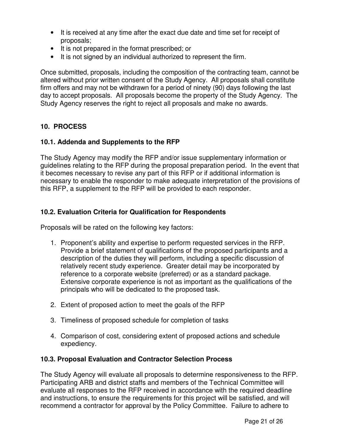- It is received at any time after the exact due date and time set for receipt of proposals;
- It is not prepared in the format prescribed; or
- It is not signed by an individual authorized to represent the firm.

Once submitted, proposals, including the composition of the contracting team, cannot be altered without prior written consent of the Study Agency. All proposals shall constitute firm offers and may not be withdrawn for a period of ninety (90) days following the last day to accept proposals. All proposals become the property of the Study Agency. The Study Agency reserves the right to reject all proposals and make no awards.

## **10. PROCESS**

### **10.1. Addenda and Supplements to the RFP**

The Study Agency may modify the RFP and/or issue supplementary information or guidelines relating to the RFP during the proposal preparation period. In the event that it becomes necessary to revise any part of this RFP or if additional information is necessary to enable the responder to make adequate interpretation of the provisions of this RFP, a supplement to the RFP will be provided to each responder.

### **10.2. Evaluation Criteria for Qualification for Respondents**

Proposals will be rated on the following key factors:

- 1. Proponent's ability and expertise to perform requested services in the RFP. Provide a brief statement of qualifications of the proposed participants and a description of the duties they will perform, including a specific discussion of relatively recent study experience. Greater detail may be incorporated by reference to a corporate website (preferred) or as a standard package. Extensive corporate experience is not as important as the qualifications of the principals who will be dedicated to the proposed task.
- 2. Extent of proposed action to meet the goals of the RFP
- 3. Timeliness of proposed schedule for completion of tasks
- 4. Comparison of cost, considering extent of proposed actions and schedule expediency.

### **10.3. Proposal Evaluation and Contractor Selection Process**

The Study Agency will evaluate all proposals to determine responsiveness to the RFP. Participating ARB and district staffs and members of the Technical Committee will evaluate all responses to the RFP received in accordance with the required deadline and instructions, to ensure the requirements for this project will be satisfied, and will recommend a contractor for approval by the Policy Committee. Failure to adhere to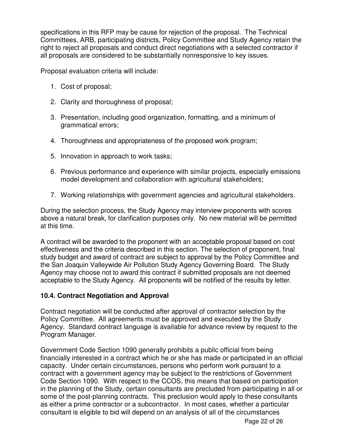specifications in this RFP may be cause for rejection of the proposal. The Technical Committees, ARB, participating districts, Policy Committee and Study Agency retain the right to reject all proposals and conduct direct negotiations with a selected contractor if all proposals are considered to be substantially nonresponsive to key issues.

Proposal evaluation criteria will include:

- 1. Cost of proposal;
- 2. Clarity and thoroughness of proposal;
- 3. Presentation, including good organization, formatting, and a minimum of grammatical errors;
- 4. Thoroughness and appropriateness of the proposed work program;
- 5. Innovation in approach to work tasks;
- 6. Previous performance and experience with similar projects, especially emissions model development and collaboration with agricultural stakeholders;
- 7. Working relationships with government agencies and agricultural stakeholders.

During the selection process, the Study Agency may interview proponents with scores above a natural break, for clarification purposes only. No new material will be permitted at this time.

A contract will be awarded to the proponent with an acceptable proposal based on cost effectiveness and the criteria described in this section. The selection of proponent, final study budget and award of contract are subject to approval by the Policy Committee and the San Joaquin Valleywide Air Pollution Study Agency Governing Board. The Study Agency may choose not to award this contract if submitted proposals are not deemed acceptable to the Study Agency. All proponents will be notified of the results by letter.

### **10.4. Contract Negotiation and Approval**

Contract negotiation will be conducted after approval of contractor selection by the Policy Committee. All agreements must be approved and executed by the Study Agency. Standard contract language is available for advance review by request to the Program Manager.

Government Code Section 1090 generally prohibits a public official from being financially interested in a contract which he or she has made or participated in an official capacity. Under certain circumstances, persons who perform work pursuant to a contract with a government agency may be subject to the restrictions of Government Code Section 1090. With respect to the CCOS, this means that based on participation in the planning of the Study, certain consultants are precluded from participating in all or some of the post-planning contracts. This preclusion would apply to these consultants as either a prime contractor or a subcontractor. In most cases, whether a particular consultant is eligible to bid will depend on an analysis of all of the circumstances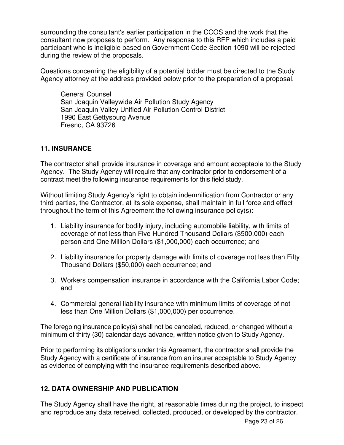surrounding the consultant's earlier participation in the CCOS and the work that the consultant now proposes to perform. Any response to this RFP which includes a paid participant who is ineligible based on Government Code Section 1090 will be rejected during the review of the proposals.

Questions concerning the eligibility of a potential bidder must be directed to the Study Agency attorney at the address provided below prior to the preparation of a proposal.

General Counsel San Joaquin Valleywide Air Pollution Study Agency San Joaquin Valley Unified Air Pollution Control District 1990 East Gettysburg Avenue Fresno, CA 93726

### **11. INSURANCE**

The contractor shall provide insurance in coverage and amount acceptable to the Study Agency. The Study Agency will require that any contractor prior to endorsement of a contract meet the following insurance requirements for this field study.

Without limiting Study Agency's right to obtain indemnification from Contractor or any third parties, the Contractor, at its sole expense, shall maintain in full force and effect throughout the term of this Agreement the following insurance policy(s):

- 1. Liability insurance for bodily injury, including automobile liability, with limits of coverage of not less than Five Hundred Thousand Dollars (\$500,000) each person and One Million Dollars (\$1,000,000) each occurrence; and
- 2. Liability insurance for property damage with limits of coverage not less than Fifty Thousand Dollars (\$50,000) each occurrence; and
- 3. Workers compensation insurance in accordance with the California Labor Code; and
- 4. Commercial general liability insurance with minimum limits of coverage of not less than One Million Dollars (\$1,000,000) per occurrence.

The foregoing insurance policy(s) shall not be canceled, reduced, or changed without a minimum of thirty (30) calendar days advance, written notice given to Study Agency.

Prior to performing its obligations under this Agreement, the contractor shall provide the Study Agency with a certificate of insurance from an insurer acceptable to Study Agency as evidence of complying with the insurance requirements described above.

## **12. DATA OWNERSHIP AND PUBLICATION**

The Study Agency shall have the right, at reasonable times during the project, to inspect and reproduce any data received, collected, produced, or developed by the contractor.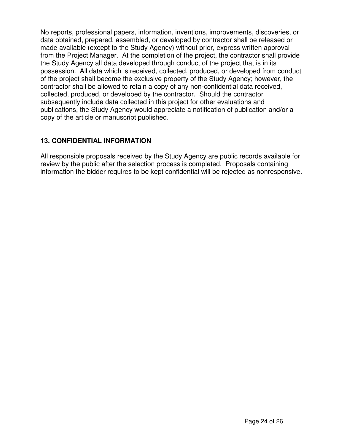No reports, professional papers, information, inventions, improvements, discoveries, or data obtained, prepared, assembled, or developed by contractor shall be released or made available (except to the Study Agency) without prior, express written approval from the Project Manager. At the completion of the project, the contractor shall provide the Study Agency all data developed through conduct of the project that is in its possession. All data which is received, collected, produced, or developed from conduct of the project shall become the exclusive property of the Study Agency; however, the contractor shall be allowed to retain a copy of any non-confidential data received, collected, produced, or developed by the contractor. Should the contractor subsequently include data collected in this project for other evaluations and publications, the Study Agency would appreciate a notification of publication and/or a copy of the article or manuscript published.

### **13. CONFIDENTIAL INFORMATION**

All responsible proposals received by the Study Agency are public records available for review by the public after the selection process is completed. Proposals containing information the bidder requires to be kept confidential will be rejected as nonresponsive.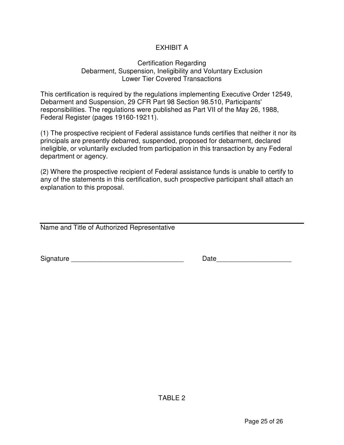## EXHIBIT A

#### Certification Regarding Debarment, Suspension, Ineligibility and Voluntary Exclusion Lower Tier Covered Transactions

This certification is required by the regulations implementing Executive Order 12549, Debarment and Suspension, 29 CFR Part 98 Section 98.510, Participants' responsibilities. The regulations were published as Part VII of the May 26, 1988, Federal Register (pages 19160-19211).

(1) The prospective recipient of Federal assistance funds certifies that neither it nor its principals are presently debarred, suspended, proposed for debarment, declared ineligible, or voluntarily excluded from participation in this transaction by any Federal department or agency.

(2) Where the prospective recipient of Federal assistance funds is unable to certify to any of the statements in this certification, such prospective participant shall attach an explanation to this proposal.

Name and Title of Authorized Representative

Signature **Example 20** and the set of the set of the Date of the Signature  $\Box$